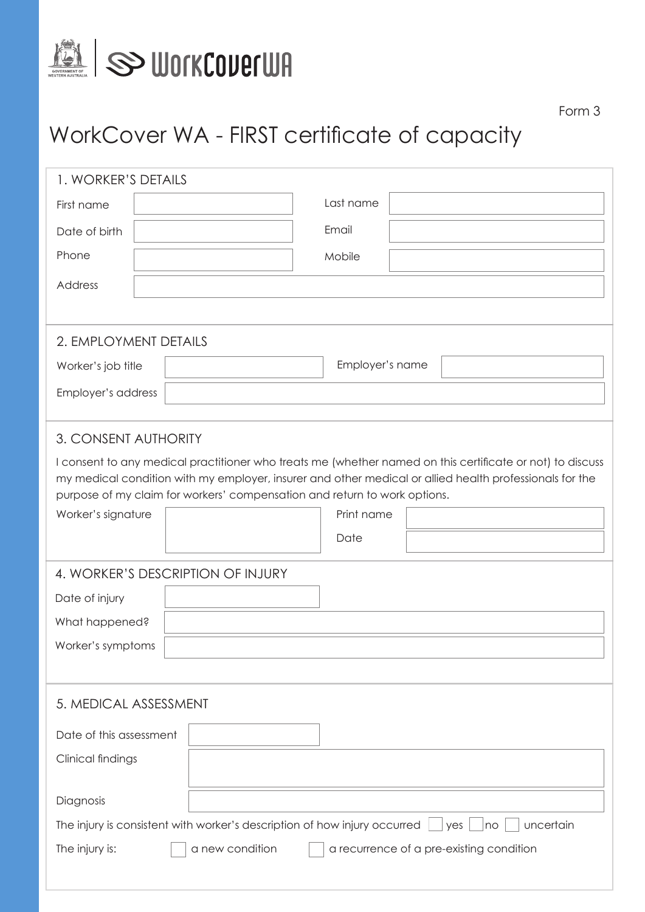

## WorkCover WA - FIRST certificate of capacity

| 1. WORKER'S DETAILS               |                                                                                                     |                                                                                                           |  |  |  |  |
|-----------------------------------|-----------------------------------------------------------------------------------------------------|-----------------------------------------------------------------------------------------------------------|--|--|--|--|
| First name                        | Last name                                                                                           |                                                                                                           |  |  |  |  |
| Date of birth                     | Email                                                                                               |                                                                                                           |  |  |  |  |
| Phone                             | Mobile                                                                                              |                                                                                                           |  |  |  |  |
| Address                           |                                                                                                     |                                                                                                           |  |  |  |  |
|                                   |                                                                                                     |                                                                                                           |  |  |  |  |
|                                   |                                                                                                     |                                                                                                           |  |  |  |  |
| 2. EMPLOYMENT DETAILS             |                                                                                                     |                                                                                                           |  |  |  |  |
| Worker's job title                | Employer's name                                                                                     |                                                                                                           |  |  |  |  |
| Employer's address                |                                                                                                     |                                                                                                           |  |  |  |  |
|                                   |                                                                                                     |                                                                                                           |  |  |  |  |
| 3. CONSENT AUTHORITY              |                                                                                                     |                                                                                                           |  |  |  |  |
|                                   |                                                                                                     | I consent to any medical practitioner who treats me (whether named on this certificate or not) to discuss |  |  |  |  |
|                                   |                                                                                                     | my medical condition with my employer, insurer and other medical or allied health professionals for the   |  |  |  |  |
|                                   | purpose of my claim for workers' compensation and return to work options.                           |                                                                                                           |  |  |  |  |
| Worker's signature                | Print name                                                                                          |                                                                                                           |  |  |  |  |
|                                   | Date                                                                                                |                                                                                                           |  |  |  |  |
| 4. WORKER'S DESCRIPTION OF INJURY |                                                                                                     |                                                                                                           |  |  |  |  |
| Date of injury                    |                                                                                                     |                                                                                                           |  |  |  |  |
| What happened?                    |                                                                                                     |                                                                                                           |  |  |  |  |
| Worker's symptoms                 |                                                                                                     |                                                                                                           |  |  |  |  |
|                                   |                                                                                                     |                                                                                                           |  |  |  |  |
|                                   |                                                                                                     |                                                                                                           |  |  |  |  |
| 5. MEDICAL ASSESSMENT             |                                                                                                     |                                                                                                           |  |  |  |  |
| Date of this assessment           |                                                                                                     |                                                                                                           |  |  |  |  |
| Clinical findings                 |                                                                                                     |                                                                                                           |  |  |  |  |
|                                   |                                                                                                     |                                                                                                           |  |  |  |  |
| Diagnosis                         |                                                                                                     |                                                                                                           |  |  |  |  |
|                                   | The injury is consistent with worker's description of how injury occurred<br>uncertain<br>yes<br>no |                                                                                                           |  |  |  |  |
| The injury is:                    | a new condition                                                                                     | a recurrence of a pre-existing condition                                                                  |  |  |  |  |
|                                   |                                                                                                     |                                                                                                           |  |  |  |  |
|                                   |                                                                                                     |                                                                                                           |  |  |  |  |